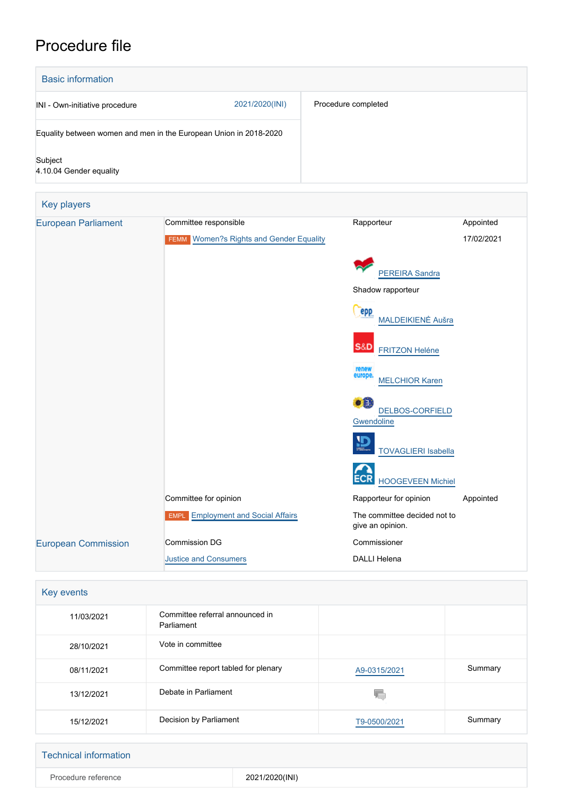# Procedure file

| <b>Basic information</b>                                          |                |                     |
|-------------------------------------------------------------------|----------------|---------------------|
| INI - Own-initiative procedure                                    | 2021/2020(INI) | Procedure completed |
| Equality between women and men in the European Union in 2018-2020 |                |                     |
| Subject<br>4.10.04 Gender equality                                |                |                     |

| <b>Key players</b>         |                                                |                                                       |            |
|----------------------------|------------------------------------------------|-------------------------------------------------------|------------|
| <b>European Parliament</b> | Committee responsible                          | Rapporteur                                            | Appointed  |
|                            | <b>FEMM</b> Women?s Rights and Gender Equality |                                                       | 17/02/2021 |
|                            |                                                | <b>PEREIRA Sandra</b>                                 |            |
|                            |                                                | Shadow rapporteur                                     |            |
|                            |                                                | <b>epp</b><br>MALDEIKIENĖ Aušra                       |            |
|                            |                                                | <b>S&amp;D</b> FRITZON Heléne                         |            |
|                            |                                                | renew<br>europe.<br><b>MELCHIOR Karen</b>             |            |
|                            |                                                | o a<br><b>DELBOS-CORFIELD</b><br>Gwendoline           |            |
|                            |                                                | $\overline{\mathbf{D}}$<br><b>TOVAGLIERI Isabella</b> |            |
|                            |                                                | <b>ECR</b><br><b>HOOGEVEEN Michiel</b>                |            |
|                            | Committee for opinion                          | Rapporteur for opinion                                | Appointed  |
|                            | <b>EMPL</b> Employment and Social Affairs      | The committee decided not to<br>give an opinion.      |            |
| <b>European Commission</b> | Commission DG                                  | Commissioner                                          |            |
|                            | <b>Justice and Consumers</b>                   | <b>DALLI Helena</b>                                   |            |

| Key events |                                               |              |         |
|------------|-----------------------------------------------|--------------|---------|
| 11/03/2021 | Committee referral announced in<br>Parliament |              |         |
| 28/10/2021 | Vote in committee                             |              |         |
| 08/11/2021 | Committee report tabled for plenary           | A9-0315/2021 | Summary |
| 13/12/2021 | Debate in Parliament                          | W.           |         |
| 15/12/2021 | Decision by Parliament                        | T9-0500/2021 | Summary |

| <b>Technical information</b> |                |
|------------------------------|----------------|
| Procedure reference          | 2021/2020(INI) |
|                              |                |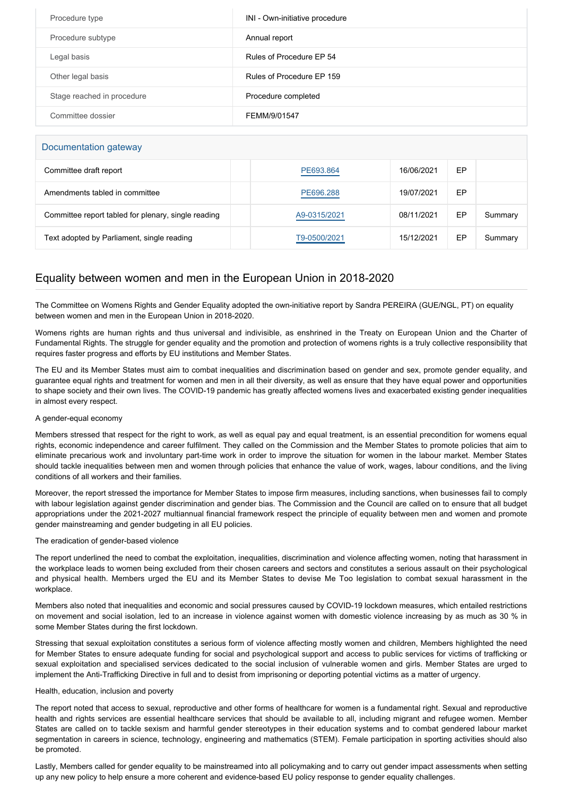| Procedure type             | INI - Own-initiative procedure |
|----------------------------|--------------------------------|
| Procedure subtype          | Annual report                  |
| Legal basis                | Rules of Procedure EP 54       |
| Other legal basis          | Rules of Procedure EP 159      |
| Stage reached in procedure | Procedure completed            |
| Committee dossier          | FEMM/9/01547                   |

### Documentation gateway

| Committee draft report                              | PE693.864    | 16/06/2021 | EP |         |
|-----------------------------------------------------|--------------|------------|----|---------|
| Amendments tabled in committee                      | PE696.288    | 19/07/2021 | EP |         |
| Committee report tabled for plenary, single reading | A9-0315/2021 | 08/11/2021 | EP | Summary |
| Text adopted by Parliament, single reading          | T9-0500/2021 | 15/12/2021 | EP | Summary |

## Equality between women and men in the European Union in 2018-2020

The Committee on Womens Rights and Gender Equality adopted the own-initiative report by Sandra PEREIRA (GUE/NGL, PT) on equality between women and men in the European Union in 2018-2020.

Womens rights are human rights and thus universal and indivisible, as enshrined in the Treaty on European Union and the Charter of Fundamental Rights. The struggle for gender equality and the promotion and protection of womens rights is a truly collective responsibility that requires faster progress and efforts by EU institutions and Member States.

The EU and its Member States must aim to combat inequalities and discrimination based on gender and sex, promote gender equality, and guarantee equal rights and treatment for women and men in all their diversity, as well as ensure that they have equal power and opportunities to shape society and their own lives. The COVID-19 pandemic has greatly affected womens lives and exacerbated existing gender inequalities in almost every respect.

#### A gender-equal economy

Members stressed that respect for the right to work, as well as equal pay and equal treatment, is an essential precondition for womens equal rights, economic independence and career fulfilment. They called on the Commission and the Member States to promote policies that aim to eliminate precarious work and involuntary part-time work in order to improve the situation for women in the labour market. Member States should tackle inequalities between men and women through policies that enhance the value of work, wages, labour conditions, and the living conditions of all workers and their families.

Moreover, the report stressed the importance for Member States to impose firm measures, including sanctions, when businesses fail to comply with labour legislation against gender discrimination and gender bias. The Commission and the Council are called on to ensure that all budget appropriations under the 2021-2027 multiannual financial framework respect the principle of equality between men and women and promote gender mainstreaming and gender budgeting in all EU policies.

#### The eradication of gender-based violence

The report underlined the need to combat the exploitation, inequalities, discrimination and violence affecting women, noting that harassment in the workplace leads to women being excluded from their chosen careers and sectors and constitutes a serious assault on their psychological and physical health. Members urged the EU and its Member States to devise Me Too legislation to combat sexual harassment in the workplace.

Members also noted that inequalities and economic and social pressures caused by COVID-19 lockdown measures, which entailed restrictions on movement and social isolation, led to an increase in violence against women with domestic violence increasing by as much as 30 % in some Member States during the first lockdown.

Stressing that sexual exploitation constitutes a serious form of violence affecting mostly women and children, Members highlighted the need for Member States to ensure adequate funding for social and psychological support and access to public services for victims of trafficking or sexual exploitation and specialised services dedicated to the social inclusion of vulnerable women and girls. Member States are urged to implement the Anti-Trafficking Directive in full and to desist from imprisoning or deporting potential victims as a matter of urgency.

#### Health, education, inclusion and poverty

The report noted that access to sexual, reproductive and other forms of healthcare for women is a fundamental right. Sexual and reproductive health and rights services are essential healthcare services that should be available to all, including migrant and refugee women. Member States are called on to tackle sexism and harmful gender stereotypes in their education systems and to combat gendered labour market segmentation in careers in science, technology, engineering and mathematics (STEM). Female participation in sporting activities should also be promoted.

Lastly, Members called for gender equality to be mainstreamed into all policymaking and to carry out gender impact assessments when setting up any new policy to help ensure a more coherent and evidence-based EU policy response to gender equality challenges.